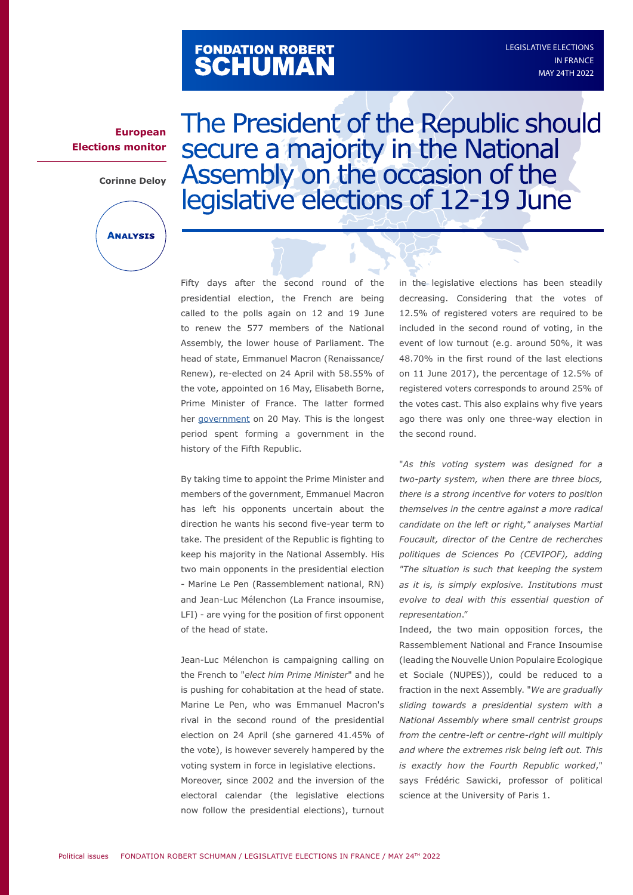# FONDATION ROBERT<br>**SCHUMAN**

#### **European Elections monitor**

**Corinne Deloy**



The President of the Republic should secure a majority in the National Assembly on the occasion of the legislative elections of 12-19 June

Ó

Fifty days after the second round of the presidential election, the French are being called to the polls again on 12 and 19 June to renew the 577 members of the National Assembly, the lower house of Parliament. The head of state, Emmanuel Macron (Renaissance/ Renew), re-elected on 24 April with 58.55% of the vote, appointed on 16 May, Elisabeth Borne, Prime Minister of France. The latter formed her [government](https://www.gouvernement.fr/actualite/la-composition-du-gouvernement-delisabeth-borne) on 20 May. This is the longest period spent forming a government in the history of the Fifth Republic.

By taking time to appoint the Prime Minister and members of the government, Emmanuel Macron has left his opponents uncertain about the direction he wants his second five-year term to take. The president of the Republic is fighting to keep his majority in the National Assembly. His two main opponents in the presidential election - Marine Le Pen (Rassemblement national, RN) and Jean-Luc Mélenchon (La France insoumise, LFI) - are vying for the position of first opponent of the head of state.

Jean-Luc Mélenchon is campaigning calling on the French to "*elect him Prime Minister*" and he is pushing for cohabitation at the head of state. Marine Le Pen, who was Emmanuel Macron's rival in the second round of the presidential election on 24 April (she garnered 41.45% of the vote), is however severely hampered by the voting system in force in legislative elections. Moreover, since 2002 and the inversion of the electoral calendar (the legislative elections now follow the presidential elections), turnout

in the legislative elections has been steadily decreasing. Considering that the votes of 12.5% of registered voters are required to be included in the second round of voting, in the event of low turnout (e.g. around 50%, it was 48.70% in the first round of the last elections on 11 June 2017), the percentage of 12.5% of registered voters corresponds to around 25% of the votes cast. This also explains why five years ago there was only one three-way election in the second round.

"*As this voting system was designed for a two-party system, when there are three blocs, there is a strong incentive for voters to position themselves in the centre against a more radical candidate on the left or right," analyses Martial Foucault, director of the Centre de recherches politiques de Sciences Po (CEVIPOF), adding "The situation is such that keeping the system as it is, is simply explosive. Institutions must evolve to deal with this essential question of representation*."

Indeed, the two main opposition forces, the Rassemblement National and France Insoumise (leading the Nouvelle Union Populaire Ecologique et Sociale (NUPES)), could be reduced to a fraction in the next Assembly. "*We are gradually sliding towards a presidential system with a National Assembly where small centrist groups from the centre-left or centre-right will multiply and where the extremes risk being left out. This is exactly how the Fourth Republic worked*," says Frédéric Sawicki, professor of political science at the University of Paris 1.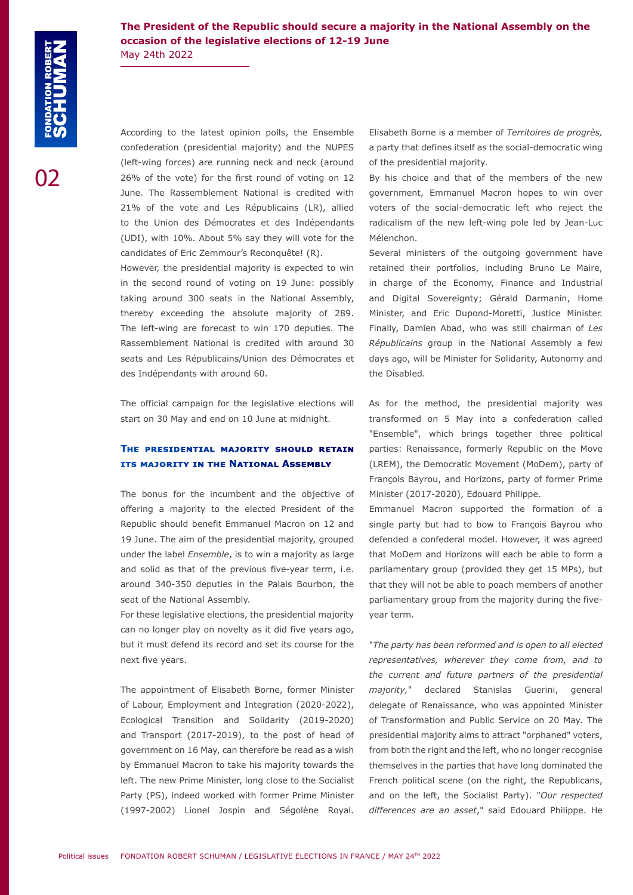**The President of the Republic should secure a majority in the National Assembly on the occasion of the legislative elections of 12-19 June** May 24th 2022

According to the latest opinion polls, the Ensemble confederation (presidential majority) and the NUPES (left-wing forces) are running neck and neck (around 26% of the vote) for the first round of voting on 12 June. The Rassemblement National is credited with 21% of the vote and Les Républicains (LR), allied to the Union des Démocrates et des Indépendants (UDI), with 10%. About 5% say they will vote for the candidates of Eric Zemmour's Reconquête! (R).

However, the presidential majority is expected to win in the second round of voting on 19 June: possibly taking around 300 seats in the National Assembly, thereby exceeding the absolute majority of 289. The left-wing are forecast to win 170 deputies. The Rassemblement National is credited with around 30 seats and Les Républicains/Union des Démocrates et des Indépendants with around 60.

The official campaign for the legislative elections will start on 30 May and end on 10 June at midnight.

### **The presidential majority should retain its majority in the National Assembly**

The bonus for the incumbent and the objective of offering a majority to the elected President of the Republic should benefit Emmanuel Macron on 12 and 19 June. The aim of the presidential majority, grouped under the label *Ensemble*, is to win a majority as large and solid as that of the previous five-year term, i.e. around 340-350 deputies in the Palais Bourbon, the seat of the National Assembly.

For these legislative elections, the presidential majority can no longer play on novelty as it did five years ago, but it must defend its record and set its course for the next five years.

The appointment of Elisabeth Borne, former Minister of Labour, Employment and Integration (2020-2022), Ecological Transition and Solidarity (2019-2020) and Transport (2017-2019), to the post of head of government on 16 May, can therefore be read as a wish by Emmanuel Macron to take his majority towards the left. The new Prime Minister, long close to the Socialist Party (PS), indeed worked with former Prime Minister (1997-2002) Lionel Jospin and Ségolène Royal.

Elisabeth Borne is a member of *Territoires de progrès,* a party that defines itself as the social-democratic wing of the presidential majority.

By his choice and that of the members of the new government, Emmanuel Macron hopes to win over voters of the social-democratic left who reject the radicalism of the new left-wing pole led by Jean-Luc Mélenchon.

Several ministers of the outgoing government have retained their portfolios, including Bruno Le Maire, in charge of the Economy, Finance and Industrial and Digital Sovereignty; Gérald Darmanin, Home Minister, and Eric Dupond-Moretti, Justice Minister. Finally, Damien Abad, who was still chairman of *Les Républicains* group in the National Assembly a few days ago, will be Minister for Solidarity, Autonomy and the Disabled.

As for the method, the presidential majority was transformed on 5 May into a confederation called "Ensemble", which brings together three political parties: Renaissance, formerly Republic on the Move (LREM), the Democratic Movement (MoDem), party of François Bayrou, and Horizons, party of former Prime Minister (2017-2020), Edouard Philippe.

Emmanuel Macron supported the formation of a single party but had to bow to François Bayrou who defended a confederal model. However, it was agreed that MoDem and Horizons will each be able to form a parliamentary group (provided they get 15 MPs), but that they will not be able to poach members of another parliamentary group from the majority during the fiveyear term.

"*The party has been reformed and is open to all elected representatives, wherever they come from, and to the current and future partners of the presidential majority,*" declared Stanislas Guerini, general delegate of Renaissance, who was appointed Minister of Transformation and Public Service on 20 May. The presidential majority aims to attract "orphaned" voters, from both the right and the left, who no longer recognise themselves in the parties that have long dominated the French political scene (on the right, the Republicans, and on the left, the Socialist Party). "*Our respected differences are an asset*," said Edouard Philippe. He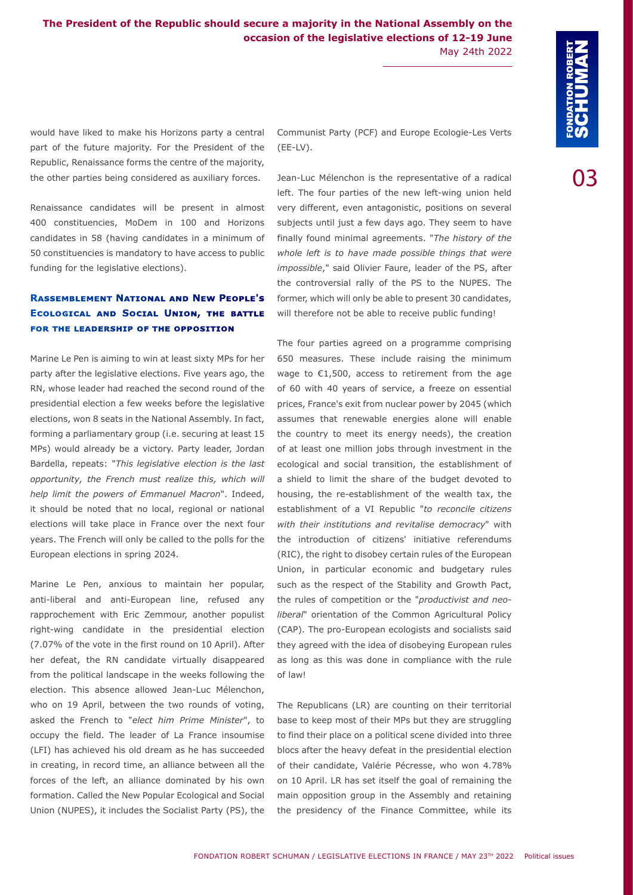would have liked to make his Horizons party a central part of the future majority. For the President of the Republic, Renaissance forms the centre of the majority, the other parties being considered as auxiliary forces.

Renaissance candidates will be present in almost 400 constituencies, MoDem in 100 and Horizons candidates in 58 (having candidates in a minimum of 50 constituencies is mandatory to have access to public funding for the legislative elections).

#### **Rassemblement National and New People's Ecological and Social Union, the battle for the leadership of the opposition**

Marine Le Pen is aiming to win at least sixty MPs for her party after the legislative elections. Five years ago, the RN, whose leader had reached the second round of the presidential election a few weeks before the legislative elections, won 8 seats in the National Assembly. In fact, forming a parliamentary group (i.e. securing at least 15 MPs) would already be a victory. Party leader, Jordan Bardella, repeats: "*This legislative election is the last opportunity, the French must realize this, which will help limit the powers of Emmanuel Macron*". Indeed, it should be noted that no local, regional or national elections will take place in France over the next four years. The French will only be called to the polls for the European elections in spring 2024.

Marine Le Pen, anxious to maintain her popular, anti-liberal and anti-European line, refused any rapprochement with Eric Zemmour, another populist right-wing candidate in the presidential election (7.07% of the vote in the first round on 10 April). After her defeat, the RN candidate virtually disappeared from the political landscape in the weeks following the election. This absence allowed Jean-Luc Mélenchon, who on 19 April, between the two rounds of voting, asked the French to "*elect him Prime Minister*", to occupy the field. The leader of La France insoumise (LFI) has achieved his old dream as he has succeeded in creating, in record time, an alliance between all the forces of the left, an alliance dominated by his own formation. Called the New Popular Ecological and Social Union (NUPES), it includes the Socialist Party (PS), the

Communist Party (PCF) and Europe Ecologie-Les Verts (EE-LV).

Jean-Luc Mélenchon is the representative of a radical left. The four parties of the new left-wing union held very different, even antagonistic, positions on several subjects until just a few days ago. They seem to have finally found minimal agreements. "*The history of the whole left is to have made possible things that were impossible*," said Olivier Faure, leader of the PS, after the controversial rally of the PS to the NUPES. The former, which will only be able to present 30 candidates, will therefore not be able to receive public funding!

The four parties agreed on a programme comprising 650 measures. These include raising the minimum wage to €1,500, access to retirement from the age of 60 with 40 years of service, a freeze on essential prices, France's exit from nuclear power by 2045 (which assumes that renewable energies alone will enable the country to meet its energy needs), the creation of at least one million jobs through investment in the ecological and social transition, the establishment of a shield to limit the share of the budget devoted to housing, the re-establishment of the wealth tax, the establishment of a VI Republic "*to reconcile citizens with their institutions and revitalise democracy*" with the introduction of citizens' initiative referendums (RIC), the right to disobey certain rules of the European Union, in particular economic and budgetary rules such as the respect of the Stability and Growth Pact, the rules of competition or the "*productivist and neoliberal*" orientation of the Common Agricultural Policy (CAP). The pro-European ecologists and socialists said they agreed with the idea of disobeying European rules as long as this was done in compliance with the rule of law!

The Republicans (LR) are counting on their territorial base to keep most of their MPs but they are struggling to find their place on a political scene divided into three blocs after the heavy defeat in the presidential election of their candidate, Valérie Pécresse, who won 4.78% on 10 April. LR has set itself the goal of remaining the main opposition group in the Assembly and retaining the presidency of the Finance Committee, while its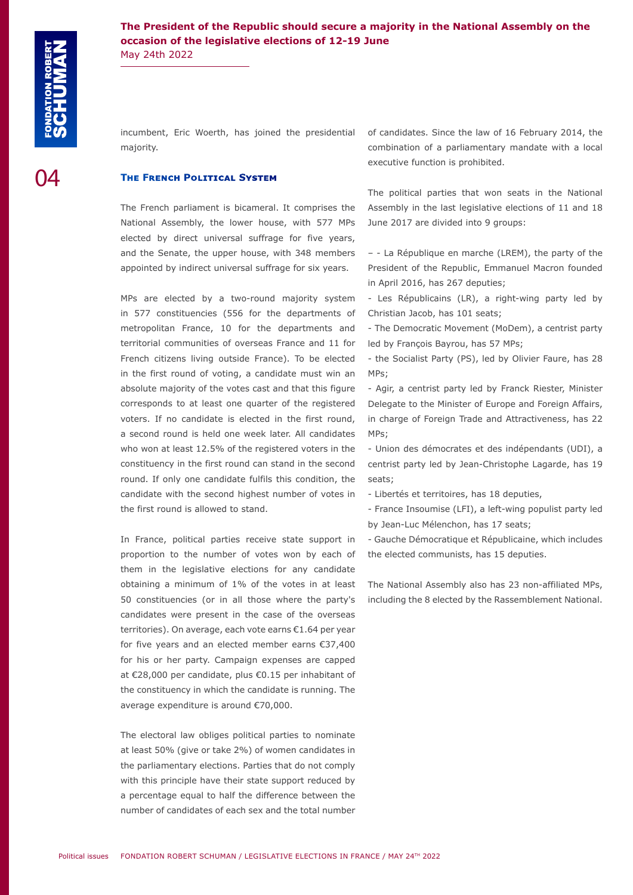**The President of the Republic should secure a majority in the National Assembly on the occasion of the legislative elections of 12-19 June** May 24th 2022

incumbent, Eric Woerth, has joined the presidential majority.

#### **The French Political System**

The French parliament is bicameral. It comprises the National Assembly, the lower house, with 577 MPs elected by direct universal suffrage for five years, and the Senate, the upper house, with 348 members appointed by indirect universal suffrage for six years.

MPs are elected by a two-round majority system in 577 constituencies (556 for the departments of metropolitan France, 10 for the departments and territorial communities of overseas France and 11 for French citizens living outside France). To be elected in the first round of voting, a candidate must win an absolute majority of the votes cast and that this figure corresponds to at least one quarter of the registered voters. If no candidate is elected in the first round, a second round is held one week later. All candidates who won at least 12.5% of the registered voters in the constituency in the first round can stand in the second round. If only one candidate fulfils this condition, the candidate with the second highest number of votes in the first round is allowed to stand.

In France, political parties receive state support in proportion to the number of votes won by each of them in the legislative elections for any candidate obtaining a minimum of 1% of the votes in at least 50 constituencies (or in all those where the party's candidates were present in the case of the overseas territories). On average, each vote earns €1.64 per year for five years and an elected member earns €37,400 for his or her party. Campaign expenses are capped at €28,000 per candidate, plus €0.15 per inhabitant of the constituency in which the candidate is running. The average expenditure is around €70,000.

The electoral law obliges political parties to nominate at least 50% (give or take 2%) of women candidates in the parliamentary elections. Parties that do not comply with this principle have their state support reduced by a percentage equal to half the difference between the number of candidates of each sex and the total number of candidates. Since the law of 16 February 2014, the combination of a parliamentary mandate with a local executive function is prohibited.

The political parties that won seats in the National Assembly in the last legislative elections of 11 and 18 June 2017 are divided into 9 groups:

– - La République en marche (LREM), the party of the President of the Republic, Emmanuel Macron founded in April 2016, has 267 deputies;

- Les Républicains (LR), a right-wing party led by Christian Jacob, has 101 seats;

- The Democratic Movement (MoDem), a centrist party led by François Bayrou, has 57 MPs;

- the Socialist Party (PS), led by Olivier Faure, has 28 MPs;

- Agir, a centrist party led by Franck Riester, Minister Delegate to the Minister of Europe and Foreign Affairs, in charge of Foreign Trade and Attractiveness, has 22 MPs;

- Union des démocrates et des indépendants (UDI), a centrist party led by Jean-Christophe Lagarde, has 19 seats;

- Libertés et territoires, has 18 deputies,

- France Insoumise (LFI), a left-wing populist party led by Jean-Luc Mélenchon, has 17 seats;

- Gauche Démocratique et Républicaine, which includes the elected communists, has 15 deputies.

The National Assembly also has 23 non-affiliated MPs, including the 8 elected by the Rassemblement National.